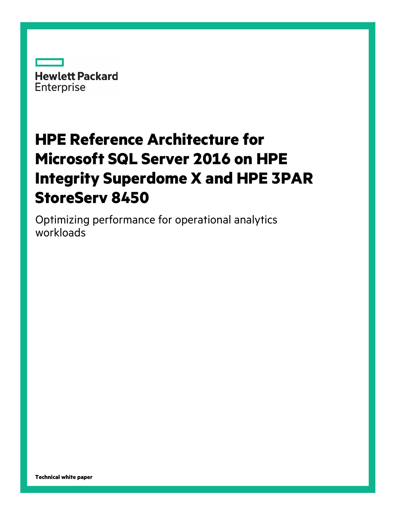

# **HPE Reference Architecture for Microsoft SQL Server 2016 on HPE Integrity Superdome X and HPE 3PAR StoreServ 8450**

Optimizing performance for operational analytics workloads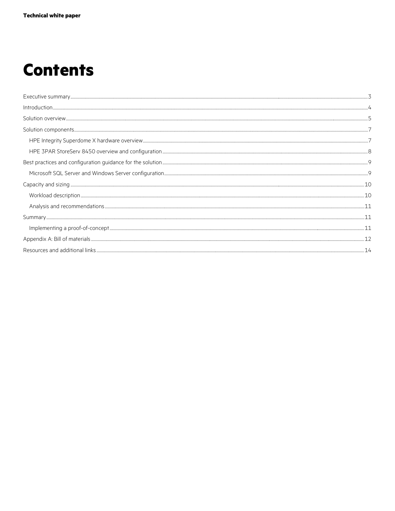# **Contents**

| $\textbf{Solution components.} \tiny \color{red} \textbf{components.} \tiny \color{red} \textbf{num} \tiny \color{red} \textbf{num} \tiny \color{red} \textbf{num} \tiny \color{red} \textbf{num} \tiny \color{red} \textbf{num} \tiny \color{red} \textbf{num} \tiny \color{red} \textbf{num} \tiny \color{red} \textbf{num} \tiny \color{red} \textbf{num} \tiny \color{red} \textbf{num} \tiny \color{red} \textbf{num} \tiny \color{red} \textbf{num} \tiny \color{red} \textbf{num} \tiny \color{red} \textbf{num} \tiny \color{red} \textbf{num} \tiny$ |  |
|---------------------------------------------------------------------------------------------------------------------------------------------------------------------------------------------------------------------------------------------------------------------------------------------------------------------------------------------------------------------------------------------------------------------------------------------------------------------------------------------------------------------------------------------------------------|--|
|                                                                                                                                                                                                                                                                                                                                                                                                                                                                                                                                                               |  |
|                                                                                                                                                                                                                                                                                                                                                                                                                                                                                                                                                               |  |
|                                                                                                                                                                                                                                                                                                                                                                                                                                                                                                                                                               |  |
|                                                                                                                                                                                                                                                                                                                                                                                                                                                                                                                                                               |  |
|                                                                                                                                                                                                                                                                                                                                                                                                                                                                                                                                                               |  |
|                                                                                                                                                                                                                                                                                                                                                                                                                                                                                                                                                               |  |
|                                                                                                                                                                                                                                                                                                                                                                                                                                                                                                                                                               |  |
|                                                                                                                                                                                                                                                                                                                                                                                                                                                                                                                                                               |  |
|                                                                                                                                                                                                                                                                                                                                                                                                                                                                                                                                                               |  |
|                                                                                                                                                                                                                                                                                                                                                                                                                                                                                                                                                               |  |
|                                                                                                                                                                                                                                                                                                                                                                                                                                                                                                                                                               |  |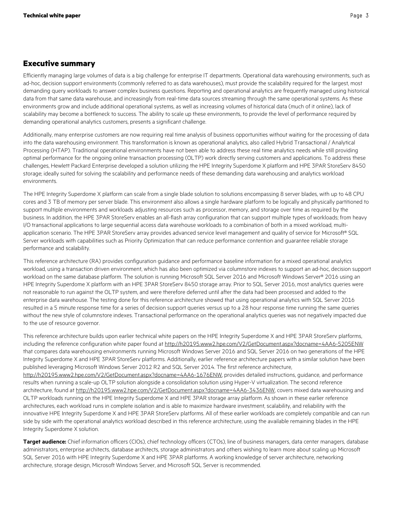## <span id="page-2-0"></span>**Executive summary**

Efficiently managing large volumes of data is a big challenge for enterprise IT departments. Operational data warehousing environments, such as ad-hoc, decision support environments (commonly referred to as data warehouses), must provide the scalability required for the largest, most demanding query workloads to answer complex business questions. Reporting and operational analytics are frequently managed using historical data from that same data warehouse, and increasingly from real-time data sources streaming through the same operational systems. As these environments grow and include additional operational systems, as well as increasing volumes of historical data (much of it online), lack of scalability may become a bottleneck to success. The ability to scale up these environments, to provide the level of performance required by demanding operational analytics customers, presents a significant challenge.

Additionally, many enterprise customers are now requiring real time analysis of business opportunities without waiting for the processing of data into the data warehousing environment. This transformation is known as operational analytics, also called Hybrid Transactional / Analytical Processing (HTAP). Traditional operational environments have not been able to address these real time analytics needs while still providing optimal performance for the ongoing online transaction processing (OLTP) work directly serving customers and applications. To address these challenges, Hewlett Packard Enterprise developed a solution utilizing the HPE Integrity Superdome X platform and HPE 3PAR StoreServ 8450 storage; ideally suited for solving the scalability and performance needs of these demanding data warehousing and analytics workload environments.

The HPE Integrity Superdome X platform can scale from a single blade solution to solutions encompassing 8 server blades, with up to 48 CPU cores and 3 TB of memory per server blade. This environment also allows a single hardware platform to be logically and physically partitioned to support multiple environments and workloads adjusting resources such as processor, memory, and storage over time as required by the business. In addition, the HPE 3PAR StoreServ enables an all-flash array configuration that can support multiple types of workloads; from heavy I/O transactional applications to large sequential access data warehouse workloads to a combination of both in a mixed workload, multiapplication scenario. The HPE 3PAR StoreServ array provides advanced service level management and quality of service for Microsoft® SQL Server workloads with capabilities such as Priority Optimization that can reduce performance contention and guarantee reliable storage performance and scalability.

This reference architecture (RA) provides configuration guidance and performance baseline information for a mixed operational analytics workload, using a transaction driven environment, which has also been optimized via columnstore indexes to support an ad-hoc, decision support workload on the same database platform. The solution is running Microsoft SQL Server 2016 and Microsoft Windows Server® 2016 using an HPE Integrity Superdome X platform with an HPE 3PAR StoreServ 8450 storage array. Prior to SQL Server 2016, most analytics queries were not reasonable to run against the OLTP system, and were therefore deferred until after the data had been processed and added to the enterprise data warehouse. The testing done for this reference architecture showed that using operational analytics with SQL Server 2016 resulted in a 5 minute response time for a series of decision support queries versus up to a 28 hour response time running the same queries without the new style of columnstore indexes. Transactional performance on the operational analytics queries was not negatively impacted due to the use of resource governor.

This reference architecture builds upon earlier technical white papers on the HPE Integrity Superdome X and HPE 3PAR StoreServ platforms, including the reference configuration white paper found at <http://h20195.www2.hpe.com/V2/GetDocument.aspx?docname=4AA6-5205ENW> that compares data warehousing environments running Microsoft Windows Server 2016 and SQL Server 2016 on two generations of the HPE Integrity Superdome X and HPE 3PAR StoreServ platforms. Additionally, earlier reference architecture papers with a similar solution have been published leveraging Microsoft Windows Server 2012 R2 and SQL Server 2014. The first reference architecture, [http://h20195.www2.hpe.com/V2/GetDocument.aspx?docname=4AA6-1676ENW,](http://h20195.www2.hpe.com/V2/GetDocument.aspx?docname=4AA6-1676ENW) provides detailed instructions, guidance, and performance results when running a scale-up OLTP solution alongside a consolidation solution using Hyper-V virtualization. The second reference architecture, found at [http://h20195.www2.hpe.com/V2/GetDocument.aspx?docname=4AA6-3436ENW,](http://h20195.www2.hpe.com/V2/GetDocument.aspx?docname=4AA6-3436ENW) covers mixed data warehousing and OLTP workloads running on the HPE Integrity Superdome X and HPE 3PAR storage array platform. As shown in these earlier reference architectures, each workload runs in complete isolation and is able to maximize hardware investment, scalability, and reliability with the innovative HPE Integrity Superdome X and HPE 3PAR StoreServ platforms. All of these earlier workloads are completely compatible and can run side by side with the operational analytics workload described in this reference architecture, using the available remaining blades in the HPE Integrity Superdome X solution.

**Target audience:** Chief information officers (CIOs), chief technology officers (CTOs), line of business managers, data center managers, database administrators, enterprise architects, database architects, storage administrators and others wishing to learn more about scaling up Microsoft SQL Server 2016 with HPE Integrity Superdome X and HPE 3PAR platforms. A working knowledge of server architecture, networking architecture, storage design, Microsoft Windows Server, and Microsoft SQL Server is recommended.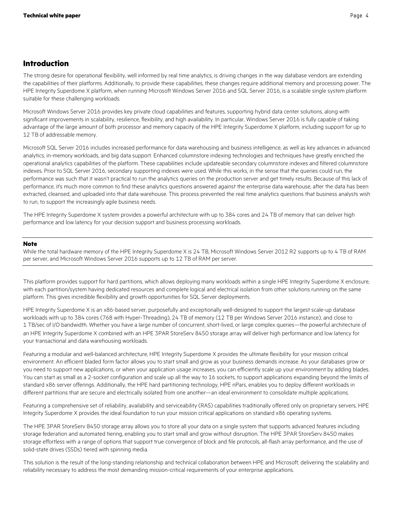## <span id="page-3-0"></span>**Introduction**

The strong desire for operational flexibility, well informed by real time analytics, is driving changes in the way database vendors are extending the capabilities of their platforms. Additionally, to provide these capabilities, these changes require additional memory and processing power. The HPE Integrity Superdome X platform, when running Microsoft Windows Server 2016 and SQL Server 2016, is a scalable single system platform suitable for these challenging workloads.

Microsoft Windows Server 2016 provides key private cloud capabilities and features, supporting hybrid data center solutions, along with significant improvements in scalability, resilience, flexibility, and high availability. In particular, Windows Server 2016 is fully capable of taking advantage of the large amount of both processor and memory capacity of the HPE Integrity Superdome X platform, including support for up to 12 TB of addressable memory.

Microsoft SQL Server 2016 includes increased performance for data warehousing and business intelligence, as well as key advances in advanced analytics, in-memory workloads, and big data support. Enhanced columnstore indexing technologies and techniques have greatly enriched the operational analytics capabilities of the platform. These capabilities include updateable secondary columnstore indexes and filtered columnstore indexes. Prior to SQL Server 2016, secondary supporting indexes were used. While this works, in the sense that the queries could run, the performance was such that it wasn't practical to run the analytics queries on the production server and get timely results. Because of this lack of performance, it's much more common to find these analytics questions answered against the enterprise data warehouse, after the data has been extracted, cleansed, and uploaded into that data warehouse. This process prevented the real time analytics questions that business analysts wish to run, to support the increasingly agile business needs.

The HPE Integrity Superdome X system provides a powerful architecture with up to 384 cores and 24 TB of memory that can deliver high performance and low latency for your decision support and business processing workloads.

#### **Note**

While the total hardware memory of the HPE Integrity Superdome X is 24 TB, Microsoft Windows Server 2012 R2 supports up to 4 TB of RAM per server, and Microsoft Windows Server 2016 supports up to 12 TB of RAM per server.

This platform provides support for hard partitions, which allows deploying many workloads within a single HPE Integrity Superdome X enclosure, with each partition/system having dedicated resources and complete logical and electrical isolation from other solutions running on the same platform. This gives incredible flexibility and growth opportunities for SQL Server deployments.

HPE Integrity Superdome X is an x86-based server, purposefully and exceptionally well-designed to support the largest scale-up database workloads with up to 384 cores (768 with Hyper-Threading), 24 TB of memory (12 TB per Windows Server 2016 instance), and close to 1 TB/sec of I/O bandwidth. Whether you have a large number of concurrent, short-lived, or large complex queries—the powerful architecture of an HPE Integrity Superdome X combined with an HPE 3PAR StoreServ 8450 storage array will deliver high performance and low latency for your transactional and data warehousing workloads.

Featuring a modular and well-balanced architecture, HPE Integrity Superdome X provides the ultimate flexibility for your mission critical environment. An efficient bladed form factor allows you to start small and grow as your business demands increase. As your databases grow or you need to support new applications, or when your application usage increases, you can efficiently scale up your environment by adding blades. You can start as small as a 2-socket configuration and scale up all the way to 16 sockets, to support applications expanding beyond the limits of standard x86 server offerings. Additionally, the HPE hard partitioning technology, HPE nPars, enables you to deploy different workloads in different partitions that are secure and electrically isolated from one another—an ideal environment to consolidate multiple applications.

Featuring a comprehensive set of reliability, availability and serviceability (RAS) capabilities traditionally offered only on proprietary servers, HPE Integrity Superdome X provides the ideal foundation to run your mission critical applications on standard x86 operating systems.

The HPE 3PAR StoreServ 8450 storage array allows you to store all your data on a single system that supports advanced features including storage federation and automated tiering, enabling you to start small and grow without disruption. The HPE 3PAR StoreServ 8450 makes storage effortless with a range of options that support true convergence of block and file protocols, all-flash array performance, and the use of solid-state drives (SSDs) tiered with spinning media.

This solution is the result of the long-standing relationship and technical collaboration between HPE and Microsoft, delivering the scalability and reliability necessary to address the most demanding mission-critical requirements of your enterprise applications.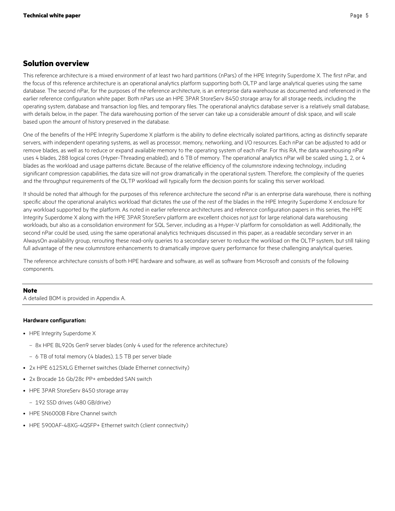## <span id="page-4-0"></span>**Solution overview**

This reference architecture is a mixed environment of at least two hard partitions (nPars) of the HPE Integrity Superdome X. The first nPar, and the focus of this reference architecture is an operational analytics platform supporting both OLTP and large analytical queries using the same database. The second nPar, for the purposes of the reference architecture, is an enterprise data warehouse as documented and referenced in the earlier reference configuration white paper. Both nPars use an HPE 3PAR StoreServ 8450 storage array for all storage needs, including the operating system, database and transaction log files, and temporary files. The operational analytics database server is a relatively small database, with details below, in the paper. The data warehousing portion of the server can take up a considerable amount of disk space, and will scale based upon the amount of history preserved in the database.

One of the benefits of the HPE Integrity Superdome X platform is the ability to define electrically isolated partitions, acting as distinctly separate servers, with independent operating systems, as well as processor, memory, networking, and I/O resources. Each nPar can be adjusted to add or remove blades, as well as to reduce or expand available memory to the operating system of each nPar. For this RA, the data warehousing nPar uses 4 blades, 288 logical cores (Hyper-Threading enabled), and 6 TB of memory. The operational analytics nPar will be scaled using 1, 2, or 4 blades as the workload and usage patterns dictate. Because of the relative efficiency of the columnstore indexing technology, including significant compression capabilities, the data size will not grow dramatically in the operational system. Therefore, the complexity of the queries and the throughput requirements of the OLTP workload will typically form the decision points for scaling this server workload.

It should be noted that although for the purposes of this reference architecture the second nPar is an enterprise data warehouse, there is nothing specific about the operational analytics workload that dictates the use of the rest of the blades in the HPE Integrity Superdome X enclosure for any workload supported by the platform. As noted in earlier reference architectures and reference configuration papers in this series, the HPE Integrity Superdome X along with the HPE 3PAR StoreServ platform are excellent choices not just for large relational data warehousing workloads, but also as a consolidation environment for SQL Server, including as a Hyper-V platform for consolidation as well. Additionally, the second nPar could be used, using the same operational analytics techniques discussed in this paper, as a readable secondary server in an AlwaysOn availability group, rerouting these read-only queries to a secondary server to reduce the workload on the OLTP system, but still taking full advantage of the new columnstore enhancements to dramatically improve query performance for these challenging analytical queries.

The reference architecture consists of both HPE hardware and software, as well as software from Microsoft and consists of the following components.

#### **Note**

A detailed BOM is provided in Appendix A.

#### **Hardware configuration:**

- HPE Integrity Superdome X
	- 8x HPE BL920s Gen9 server blades (only 4 used for the reference architecture)
	- 6 TB of total memory (4 blades), 1.5 TB per server blade
- 2x HPE 6125XLG Ethernet switches (blade Ethernet connectivity)
- 2x Brocade 16 Gb/28c PP+ embedded SAN switch
- HPE 3PAR StoreServ 8450 storage array
	- 192 SSD drives (480 GB/drive)
- HPE SN6000B Fibre Channel switch
- HPE 5900AF-48XG-4QSFP+ Ethernet switch (client connectivity)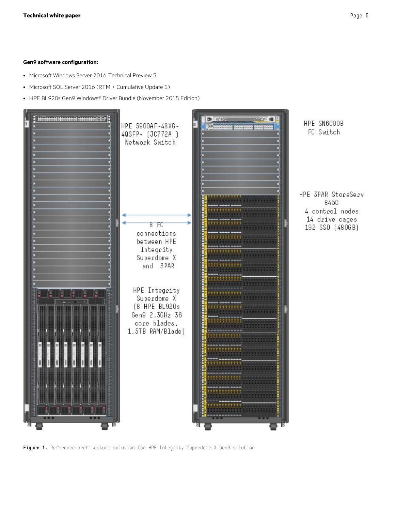#### **Gen9 software configuration:**

- Microsoft Windows Server 2016 Technical Preview 5
- Microsoft SQL Server 2016 (RTM + Cumulative Update 1)
- HPE BL920s Gen9 Windows® Driver Bundle (November 2015 Edition)



HPE SN6000B FC Switch

HPE 3PAR StoreServ 8450 4 control nodes 14 drive cages 192 SSD (480GB)

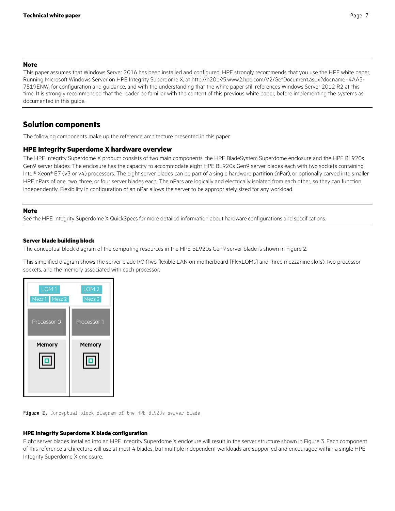### **Note**

This paper assumes that Windows Server 2016 has been installed and configured. HPE strongly recommends that you use the HPE white paper, Running Microsoft Windows Server on HPE Integrity Superdome X, at [http://h20195.www2.hpe.com/V2/GetDocument.aspx?docname=4AA5-](http://h20195.www2.hpe.com/V2/GetDocument.aspx?docname=4AA5-7519ENW) [7519ENW,](http://h20195.www2.hpe.com/V2/GetDocument.aspx?docname=4AA5-7519ENW) for configuration and guidance, and with the understanding that the white paper still references Windows Server 2012 R2 at this time. It is strongly recommended that the reader be familiar with the content of this previous white paper, before implementing the systems as documented in this guide.

## <span id="page-6-0"></span>**Solution components**

The following components make up the reference architecture presented in this paper.

#### <span id="page-6-1"></span>**HPE Integrity Superdome X hardware overview**

The HPE Integrity Superdome X product consists of two main components: the HPE BladeSystem Superdome enclosure and the HPE BL920s Gen9 server blades. The enclosure has the capacity to accommodate eight HPE BL920s Gen9 server blades each with two sockets containing Intel® Xeon® E7 (v3 or v4) processors. The eight server blades can be part of a single hardware partition (nPar), or optionally carved into smaller HPE nPars of one, two, three, or four server blades each. The nPars are logically and electrically isolated from each other, so they can function independently. Flexibility in configuration of an nPar allows the server to be appropriately sized for any workload.

#### **Note**

See the [HPE Integrity Superdome X QuickSpecs](http://www.hpe.com/h20195/v2/GetDocument.aspx?docname=c04383189) for more detailed information about hardware configurations and specifications.

#### **Server blade building block**

The conceptual block diagram of the computing resources in the HPE BL920s Gen9 server blade is shown in Figure 2.

This simplified diagram shows the server blade I/O (two flexible LAN on motherboard [FlexLOMs] and three mezzanine slots), two processor sockets, and the memory associated with each processor.



**Figure 2.** Conceptual block diagram of the HPE BL920s server blade

#### **HPE Integrity Superdome X blade configuration**

Eight server blades installed into an HPE Integrity Superdome X enclosure will result in the server structure shown in Figure 3. Each component of this reference architecture will use at most 4 blades, but multiple independent workloads are supported and encouraged within a single HPE Integrity Superdome X enclosure.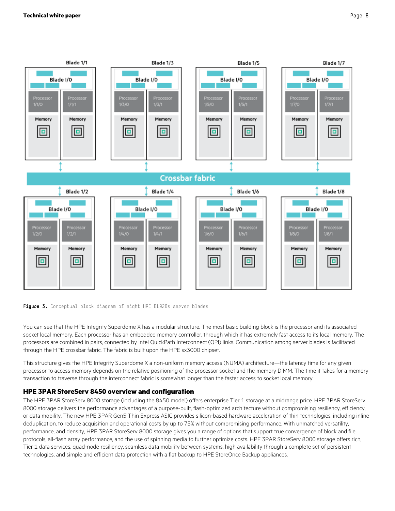



You can see that the HPE Integrity Superdome X has a modular structure. The most basic building block is the processor and its associated socket local memory. Each processor has an embedded memory controller, through which it has extremely fast access to its local memory. The processors are combined in pairs, connected by Intel QuickPath Interconnect (QPI) links. Communication among server blades is facilitated through the HPE crossbar fabric. The fabric is built upon the HPE sx3000 chipset.

This structure gives the HPE Integrity Superdome X a non-uniform memory access (NUMA) architecture—the latency time for any given processor to access memory depends on the relative positioning of the processor socket and the memory DIMM. The time it takes for a memory transaction to traverse through the interconnect fabric is somewhat longer than the faster access to socket local memory.

## <span id="page-7-0"></span>**HPE 3PAR StoreServ 8450 overview and configuration**

The HPE 3PAR StoreServ 8000 storage (including the 8450 model) offers enterprise Tier 1 storage at a midrange price. HPE 3PAR StoreServ 8000 storage delivers the performance advantages of a purpose-built, flash-optimized architecture without compromising resiliency, efficiency, or data mobility. The new HPE 3PAR Gen5 Thin Express ASIC provides silicon-based hardware acceleration of thin technologies, including inline deduplication, to reduce acquisition and operational costs by up to 75% without compromising performance. With unmatched versatility, performance, and density, HPE 3PAR StoreServ 8000 storage gives you a range of options that support true convergence of block and file protocols, all-flash array performance, and the use of spinning media to further optimize costs. HPE 3PAR StoreServ 8000 storage offers rich, Tier 1 data services, quad-node resiliency, seamless data mobility between systems, high availability through a complete set of persistent technologies, and simple and efficient data protection with a flat backup to HPE StoreOnce Backup appliances.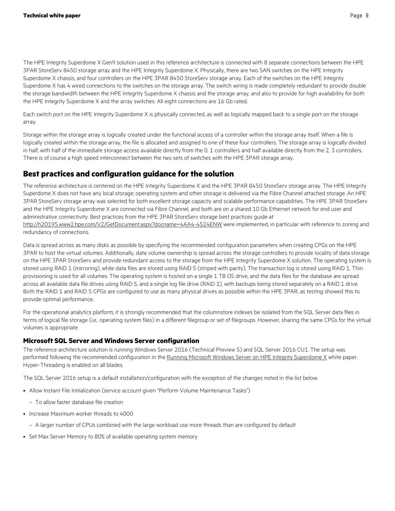The HPE Integrity Superdome X Gen9 solution used in this reference architecture is connected with 8 separate connections between the HPE 3PAR StoreServ 8450 storage array and the HPE Integrity Superdome X. Physically, there are two SAN switches on the HPE Integrity Superdome X chassis, and four controllers on the HPE 3PAR 8450 StoreServ storage array. Each of the switches on the HPE Integrity Superdome X has 4 wired connections to the switches on the storage array. The switch wiring is made completely redundant to provide double the storage bandwidth between the HPE Integrity Superdome X chassis and the storage array, and also to provide for high availability for both the HPE Integrity Superdome X and the array switches. All eight connections are 16 Gb rated.

Each switch port on the HPE Integrity Superdome X is physically connected, as well as logically mapped back to a single port on the storage array.

Storage within the storage array is logically created under the functional access of a controller within the storage array itself. When a file is logically created within the storage array, the file is allocated and assigned to one of these four controllers. The storage array is logically divided in half, with half of the immediate storage access available directly from the 0, 1 controllers and half available directly from the 2, 3 controllers. There is of course a high speed interconnect between the two sets of switches with the HPE 3PAR storage array.

## <span id="page-8-0"></span>**Best practices and configuration guidance for the solution**

The reference architecture is centered on the HPE Integrity Superdome X and the HPE 3PAR 8450 StoreServ storage array. The HPE Integrity Superdome X does not have any local storage; operating system and other storage is delivered via the Fibre Channel attached storage. An HPE 3PAR StoreServ storage array was selected for both excellent storage capacity and scalable performance capabilities. The HPE 3PAR StoreServ and the HPE Integrity Superdome X are connected via Fibre Channel, and both are on a shared 10 Gb Ethernet network for end user and administrative connectivity. Best practices from the HPE 3PAR StoreServ storage best practices guide at

<http://h20195.www2.hpe.com/V2/GetDocument.aspx?docname=4AA4-4524ENW> were implemented, in particular with reference to zoning and redundancy of connections.

Data is spread across as many disks as possible by specifying the recommended configuration parameters when creating CPGs on the HPE 3PAR to host the virtual volumes. Additionally, data volume ownership is spread across the storage controllers to provide locality of data storage on the HPE 3PAR StoreServ and provide redundant access to the storage from the HPE Integrity Superdome X solution. The operating system is stored using RAID 1 (mirroring), while data files are stored using RAID 5 (striped with parity). The transaction log is stored using RAID 1. Thin provisioning is used for all volumes. The operating system is hosted on a single 1 TB OS drive, and the data files for the database are spread across all available data file drives using RAID 5, and a single log file drive (RAID 1), with backups being stored separately on a RAID 1 drive. Both the RAID 1 and RAID 5 CPGs are configured to use as many physical drives as possible within the HPE 3PAR, as testing showed this to provide optimal performance.

For the operational analytics platform, it is strongly recommended that the columnstore indexes be isolated from the SQL Server data files in terms of logical file storage (i.e., operating system files) in a different filegroup or set of filegroups. However, sharing the same CPGs for the virtual volumes is appropriate.

## <span id="page-8-1"></span>**Microsoft SQL Server and Windows Server configuration**

The reference architecture solution is running Windows Server 2016 (Technical Preview 5) and SQL Server 2016 CU1. The setup was performed following the recommended configuration in th[e Running Microsoft Windows Server on HPE Integrity Superdome X](http://h20195.www2.hpe.com/V2/GetDocument.aspx?docname=4AA5-7519ENW) white paper. Hyper-Threading is enabled on all blades.

The SQL Server 2016 setup is a default installation/configuration with the exception of the changes noted in the list below:

- Allow Instant File Initialization (service account given "Perform Volume Maintenance Tasks")
	- To allow faster database file creation
- Increase Maximum worker threads to 4000
	- A larger number of CPUs combined with the large workload use more threads than are configured by default
- Set Max Server Memory to 80% of available operating system memory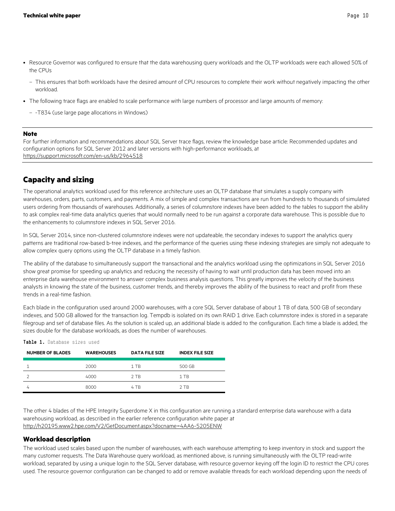- Resource Governor was configured to ensure that the data warehousing query workloads and the OLTP workloads were each allowed 50% of the CPUs
	- This ensures that both workloads have the desired amount of CPU resources to complete their work without negatively impacting the other workload.
- The following trace flags are enabled to scale performance with large numbers of processor and large amounts of memory:
	- -T834 (use large page allocations in Windows)

#### **Note**

For further information and recommendations about SQL Server trace flags, review the knowledge base article: Recommended updates and configuration options for SQL Server 2012 and later versions with high-performance workloads, at <https://support.microsoft.com/en-us/kb/2964518>

## <span id="page-9-0"></span>**Capacity and sizing**

The operational analytics workload used for this reference architecture uses an OLTP database that simulates a supply company with warehouses, orders, parts, customers, and payments. A mix of simple and complex transactions are run from hundreds to thousands of simulated users ordering from thousands of warehouses. Additionally, a series of columnstore indexes have been added to the tables to support the ability to ask complex real-time data analytics queries that would normally need to be run against a corporate data warehouse. This is possible due to the enhancements to columnstore indexes in SQL Server 2016.

In SQL Server 2014, since non-clustered columnstore indexes were not updateable, the secondary indexes to support the analytics query patterns are traditional row-based b-tree indexes, and the performance of the queries using these indexing strategies are simply not adequate to allow complex query options using the OLTP database in a timely fashion.

The ability of the database to simultaneously support the transactional and the analytics workload using the optimizations in SQL Server 2016 show great promise for speeding up analytics and reducing the necessity of having to wait until production data has been moved into an enterprise data warehouse environment to answer complex business analysis questions. This greatly improves the velocity of the business analysts in knowing the state of the business, customer trends, and thereby improves the ability of the business to react and profit from these trends in a real-time fashion.

Each blade in the configuration used around 2000 warehouses, with a core SQL Server database of about 1 TB of data, 500 GB of secondary indexes, and 500 GB allowed for the transaction log. Tempdb is isolated on its own RAID 1 drive. Each columnstore index is stored in a separate filegroup and set of database files. As the solution is scaled up, an additional blade is added to the configuration. Each time a blade is added, the sizes double for the database workloads, as does the number of warehouses.

| <b>NUMBER OF BLADES</b> | <b>WAREHOUSES</b> | <b>DATA FILE SIZE</b> | <b>INDEX FILE SIZE</b> |
|-------------------------|-------------------|-----------------------|------------------------|
|                         | 2000              | 1 TB                  | 500 GB                 |
|                         | 4000              | 2 TB                  | 1 TB                   |
|                         | 8000              | 4 TB                  | 2 TR                   |

**Table 1.** Database sizes used

The other 4 blades of the HPE Integrity Superdome X in this configuration are running a standard enterprise data warehouse with a data warehousing workload, as described in the earlier reference configuration white paper at <http://h20195.www2.hpe.com/V2/GetDocument.aspx?docname=4AA6-5205ENW>

#### <span id="page-9-1"></span>**Workload description**

The workload used scales based upon the number of warehouses, with each warehouse attempting to keep inventory in stock and support the many customer requests. The Data Warehouse query workload, as mentioned above, is running simultaneously with the OLTP read-write workload, separated by using a unique login to the SQL Server database, with resource governor keying off the login ID to restrict the CPU cores used. The resource governor configuration can be changed to add or remove available threads for each workload depending upon the needs of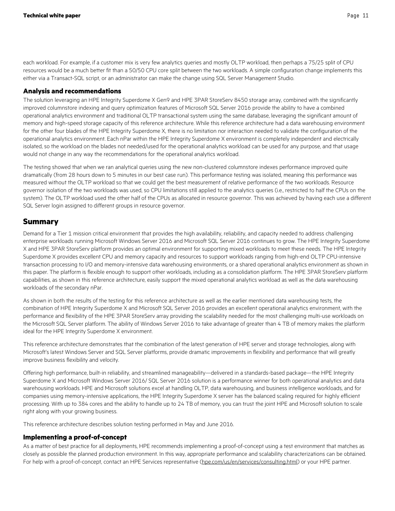each workload. For example, if a customer mix is very few analytics queries and mostly OLTP workload, then perhaps a 75/25 split of CPU resources would be a much better fit than a 50/50 CPU core split between the two workloads. A simple configuration change implements this either via a Transact-SQL script, or an administrator can make the change using SQL Server Management Studio.

#### <span id="page-10-0"></span>**Analysis and recommendations**

The solution leveraging an HPE Integrity Superdome X Gen9 and HPE 3PAR StoreServ 8450 storage array, combined with the significantly improved columnstore indexing and query optimization features of Microsoft SQL Server 2016 provide the ability to have a combined operational analytics environment and traditional OLTP transactional system using the same database, leveraging the significant amount of memory and high-speed storage capacity of this reference architecture. While this reference architecture had a data warehousing environment for the other four blades of the HPE Integrity Superdome X, there is no limitation nor interaction needed to validate the configuration of the operational analytics environment. Each nPar within the HPE Integrity Superdome X environment is completely independent and electrically isolated, so the workload on the blades not needed/used for the operational analytics workload can be used for any purpose, and that usage would not change in any way the recommendations for the operational analytics workload.

The testing showed that when we ran analytical queries using the new non-clustered columnstore indexes performance improved quite dramatically (from 28 hours down to 5 minutes in our best case run). This performance testing was isolated, meaning this performance was measured without the OLTP workload so that we could get the best measurement of relative performance of the two workloads. Resource governor isolation of the two workloads was used, so CPU limitations still applied to the analytics queries (i.e., restricted to half the CPUs on the system). The OLTP workload used the other half of the CPUs as allocated in resource governor. This was achieved by having each use a different SQL Server login assigned to different groups in resource governor.

### <span id="page-10-1"></span>**Summary**

Demand for a Tier 1 mission critical environment that provides the high availability, reliability, and capacity needed to address challenging enterprise workloads running Microsoft Windows Server 2016 and Microsoft SQL Server 2016 continues to grow. The HPE Integrity Superdome X and HPE 3PAR StoreServ platform provides an optimal environment for supporting mixed workloads to meet these needs. The HPE Integrity Superdome X provides excellent CPU and memory capacity and resources to support workloads ranging from high-end OLTP CPU-intensive transaction processing to I/O and memory-intensive data warehousing environments, or a shared operational analytics environment as shown in this paper. The platform is flexible enough to support other workloads, including as a consolidation platform. The HPE 3PAR StoreServ platform capabilities, as shown in this reference architecture, easily support the mixed operational analytics workload as well as the data warehousing workloads of the secondary nPar.

As shown in both the results of the testing for this reference architecture as well as the earlier mentioned data warehousing tests, the combination of HPE Integrity Superdome X and Microsoft SQL Server 2016 provides an excellent operational analytics environment, with the performance and flexibility of the HPE 3PAR StoreServ array providing the scalability needed for the most challenging multi-use workloads on the Microsoft SQL Server platform. The ability of Windows Server 2016 to take advantage of greater than 4 TB of memory makes the platform ideal for the HPE Integrity Superdome X environment.

This reference architecture demonstrates that the combination of the latest generation of HPE server and storage technologies, along with Microsoft's latest Windows Server and SQL Server platforms, provide dramatic improvements in flexibility and performance that will greatly improve business flexibility and velocity.

Offering high performance, built-in reliability, and streamlined manageability—delivered in a standards-based package—the HPE Integrity Superdome X and Microsoft Windows Server 2016/ SQL Server 2016 solution is a performance winner for both operational analytics and data warehousing workloads. HPE and Microsoft solutions excel at handling OLTP, data warehousing, and business intelligence workloads, and for companies using memory-intensive applications, the HPE Integrity Superdome X server has the balanced scaling required for highly efficient processing. With up to 384 cores and the ability to handle up to 24 TB of memory, you can trust the joint HPE and Microsoft solution to scale right along with your growing business.

This reference architecture describes solution testing performed in May and June 2016.

#### <span id="page-10-2"></span>**Implementing a proof-of-concept**

As a matter of best practice for all deployments, HPE recommends implementing a proof-of-concept using a test environment that matches as closely as possible the planned production environment. In this way, appropriate performance and scalability characterizations can be obtained. For help with a proof-of-concept, contact an HPE Services representative [\(hpe.com/us/en/services/consulting.html\)](http://www.hpe.com/us/en/services/consulting.html) or your HPE partner.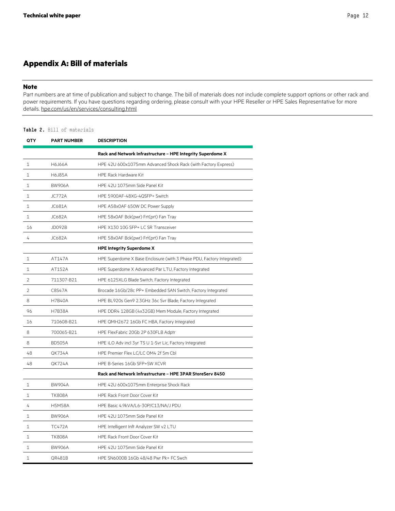## <span id="page-11-0"></span>**Appendix A: Bill of materials**

#### **Note**

Part numbers are at time of publication and subject to change. The bill of materials does not include complete support options or other rack and power requirements. If you have questions regarding ordering, please consult with your HPE Reseller or HPE Sales Representative for more details. [hpe.com/us/en/services/consulting.html](http://www.hpe.com/us/en/services/consulting.html)

#### **Table 2.** Bill of materials

| QTY            | <b>PART NUMBER</b> | <b>DESCRIPTION</b>                                                    |
|----------------|--------------------|-----------------------------------------------------------------------|
|                |                    | Rack and Network Infrastructure - HPE Integrity Superdome X           |
| $\mathbf{1}$   | H6J66A             | HPE 42U 600x1075mm Advanced Shock Rack (with Factory Express)         |
| 1              | H6J85A             | <b>HPF Rack Hardware Kit</b>                                          |
| 1              | <b>BW906A</b>      | HPE 42U 1075mm Side Panel Kit                                         |
| 1              | <b>JC772A</b>      | HPE 5900AF-48XG-4QSFP+ Switch                                         |
| 1              | JC681A             | HPE A58x0AF 650W DC Power Supply                                      |
| $\mathbf{1}$   | JC682A             | HPE 58x0AF Bck(pwr) Frt(prt) Fan Tray                                 |
| 16             | JD092B             | HPE X130 10G SFP+ LC SR Transceiver                                   |
| 4              | JC682A             | HPE 58x0AF Bck(pwr) Frt(prt) Fan Tray                                 |
|                |                    | <b>HPE Integrity Superdome X</b>                                      |
| 1              | AT147A             | HPE Superdome X Base Enclosure (with 3 Phase PDU, Factory Integrated) |
| 1              | AT152A             | HPE Superdome X Advanced Par LTU, Factory Integrated                  |
| $\overline{2}$ | 711307-B21         | HPE 6125XLG Blade Switch, Factory Integrated                          |
| $\overline{2}$ | C8S47A             | Brocade 16Gb/28c PP+ Embedded SAN Switch, Factory Integrated          |
| 8              | <b>H7B40A</b>      | HPE BL920s Gen9 2.3GHz 36c Svr Blade, Factory Integrated              |
| 96             | <b>H7B38A</b>      | HPE DDR4 128GB (4x32GB) Mem Module, Factory Integrated                |
| 16             | 710608-B21         | HPE QMH2672 16Gb FC HBA, Factory Integrated                           |
| 8              | 700065-B21         | HPE FlexFabric 20Gb 2P 630FLB Adptr                                   |
| 8              | <b>BD505A</b>      | HPE iLO Adv incl 3yr TS U 1-Svr Lic, Factory Integrated               |
| 48             | QK734A             | HPE Premier Flex LC/LC OM4 2f 5m Cbl                                  |
| 48             | QK724A             | HPE B-Series 16Gb SFP+SW XCVR                                         |
|                |                    | Rack and Network Infrastructure - HPE 3PAR StoreServ 8450             |
| 1              | <b>BW904A</b>      | HPE 42U 600x1075mm Enterprise Shock Rack                              |
| $\mathbf{1}$   | <b>TK808A</b>      | HPE Rack Front Door Cover Kit                                         |
| 4              | <b>H5M58A</b>      | HPE Basic 4.9kVA/L6-30P/C13/NA/J PDU                                  |
| 1              | <b>BW906A</b>      | HPE 42U 1075mm Side Panel Kit                                         |
| $\mathbf{1}$   | <b>TC472A</b>      | HPE Intelligent Inft Analyzer SW v2 LTU                               |
| 1              | <b>TK808A</b>      | HPE Rack Front Door Cover Kit                                         |
| $\mathbf{1}$   | <b>BW906A</b>      | HPE 42U 1075mm Side Panel Kit                                         |
| 1              | QR481B             | HPE SN6000B 16Gb 48/48 Pwr Pk+ FC Swch                                |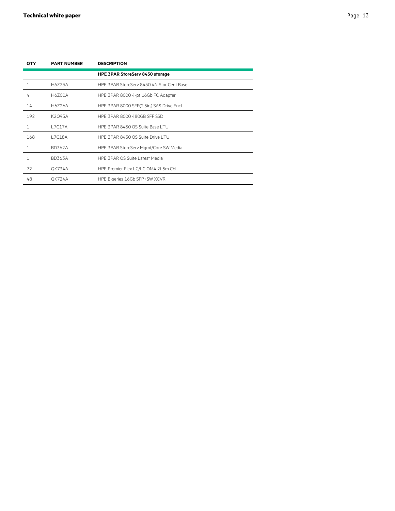| <b>OTY</b> | <b>PART NUMBER</b> | <b>DESCRIPTION</b>                        |
|------------|--------------------|-------------------------------------------|
|            |                    | <b>HPE 3PAR StoreServ 8450 storage</b>    |
| 1          | H6725A             | HPF 3PAR StoreServ 8450 4N Stor Cent Base |
| 4          | H6Z00A             | HPE 3PAR 8000 4-pt 16Gb FC Adapter        |
| 14         | H6Z26A             | HPE 3PAR 8000 SFF(2.5in) SAS Drive Encl   |
| 192        | K2Q95A             | HPE 3PAR 8000 480GB SFF SSD               |
| 1          | <b>L7C17A</b>      | HPF 3PAR 8450 OS Suite Base LTU           |
| 168        | L7C18A             | HPF 3PAR 8450 OS Suite Drive LTU          |
| 1          | <b>BD362A</b>      | HPE 3PAR StoreServ Mgmt/Core SW Media     |
| 1          | <b>BD363A</b>      | HPF 3PAR OS Suite Latest Media            |
| 72         | <b>OK734A</b>      | HPE Premier Flex LC/LC OM4 2f 5m Cbl      |
| 48         | <b>QK724A</b>      | HPF B-series 16Gb SFP+SW XCVR             |